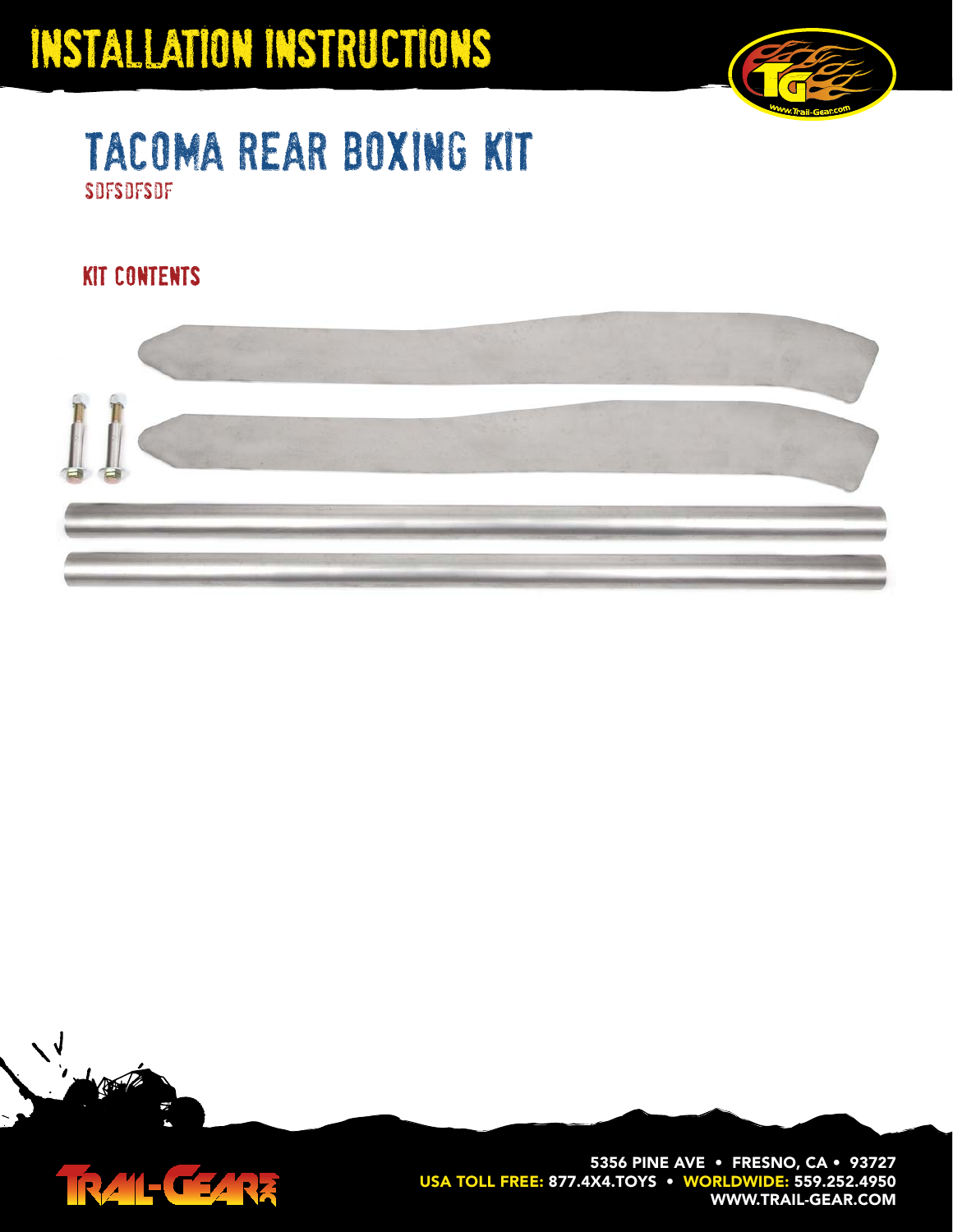# InstalLation Instructions



## tacoma rear boxing kit sdfsdfsdf

### kit contents



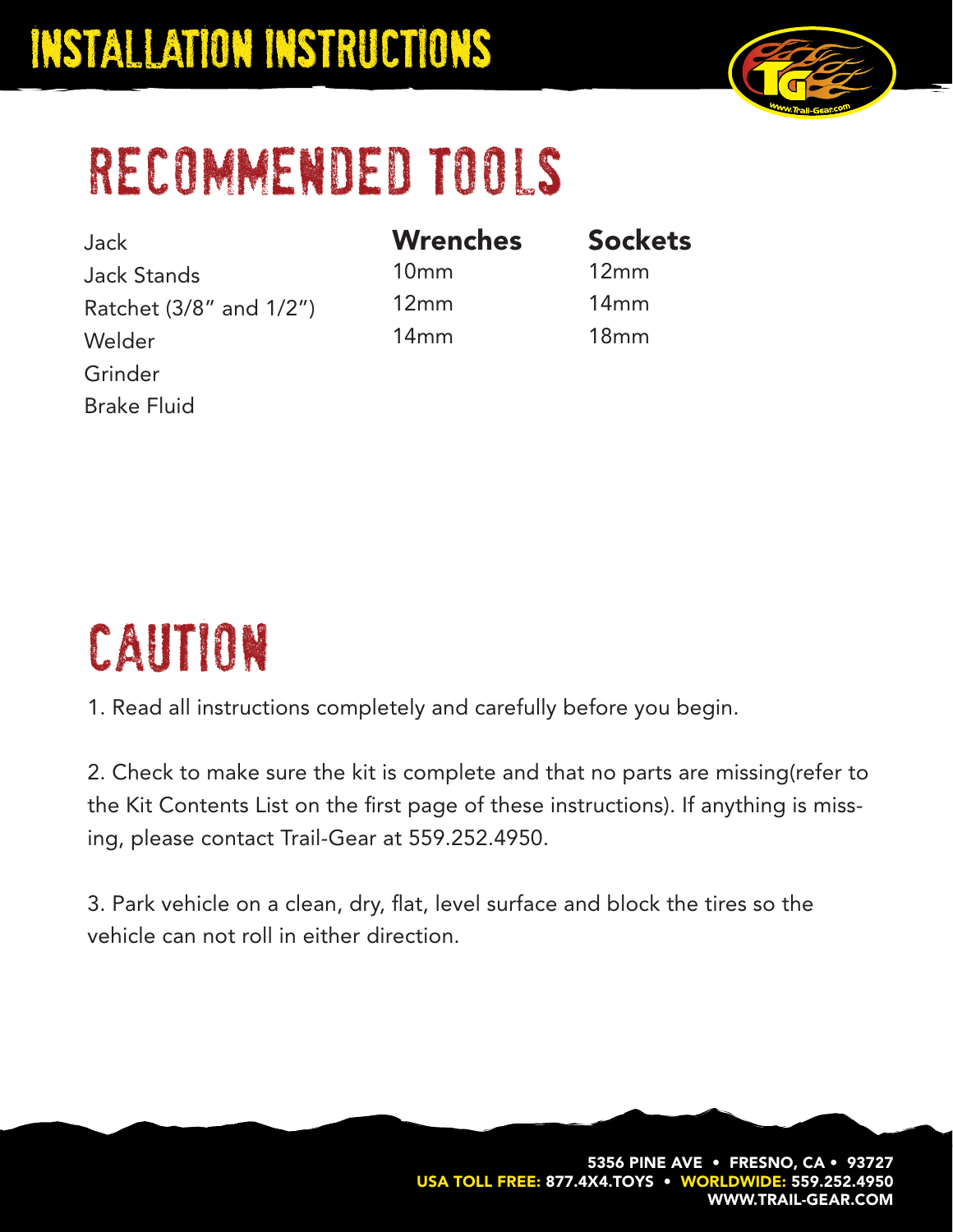

# recommended tools

Jack Jack Stands Ratchet (3/8" and 1/2") Welder Grinder Brake Fluid

### **Wrenches**

10mm 12mm 14mm

## **Sockets**

12mm 14mm 18mm

# caution

1. Read all instructions completely and carefully before you begin.

2. Check to make sure the kit is complete and that no parts are missing(refer to the Kit Contents List on the first page of these instructions). If anything is missing, please contact Trail-Gear at 559.252.4950.

3. Park vehicle on a clean, dry, flat, level surface and block the tires so the vehicle can not roll in either direction.

> **5356 PINE AVE • FRESNO, CA • 93727** USA TOLL FREE: 877.4X4.TOYS • WORLDWIDE: 559.252.4 **WWW.TRAIL-GEAR.COM**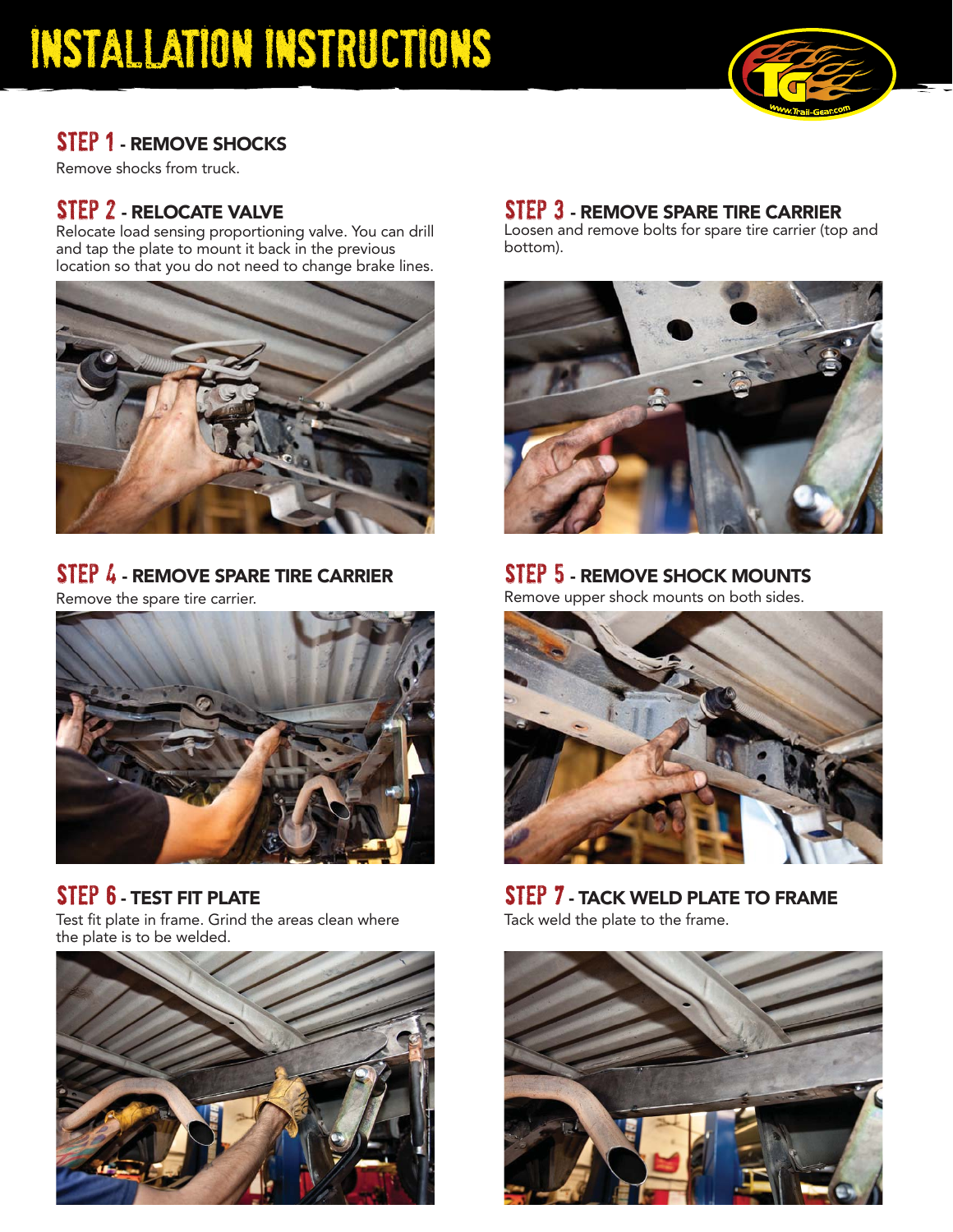## InstalLation Instructions



#### step 1 **- REMOVE SHOCKS**

Remove shocks from truck.

#### step 2 **- RELOCATE VALVE**

Relocate load sensing proportioning valve. You can drill and tap the plate to mount it back in the previous location so that you do not need to change brake lines.



step 4 **- REMOVE SPARE TIRE CARRIER** Remove the spare tire carrier.



#### step 6 **- TEST FIT PLATE**

Test fit plate in frame. Grind the areas clean where the plate is to be welded.



#### step 3 **- REMOVE SPARE TIRE CARRIER**

Loosen and remove bolts for spare tire carrier (top and bottom).



step 5 **- REMOVE SHOCK MOUNTS** Remove upper shock mounts on both sides.



step 7 **- TACK WELD PLATE TO FRAME** Tack weld the plate to the frame.